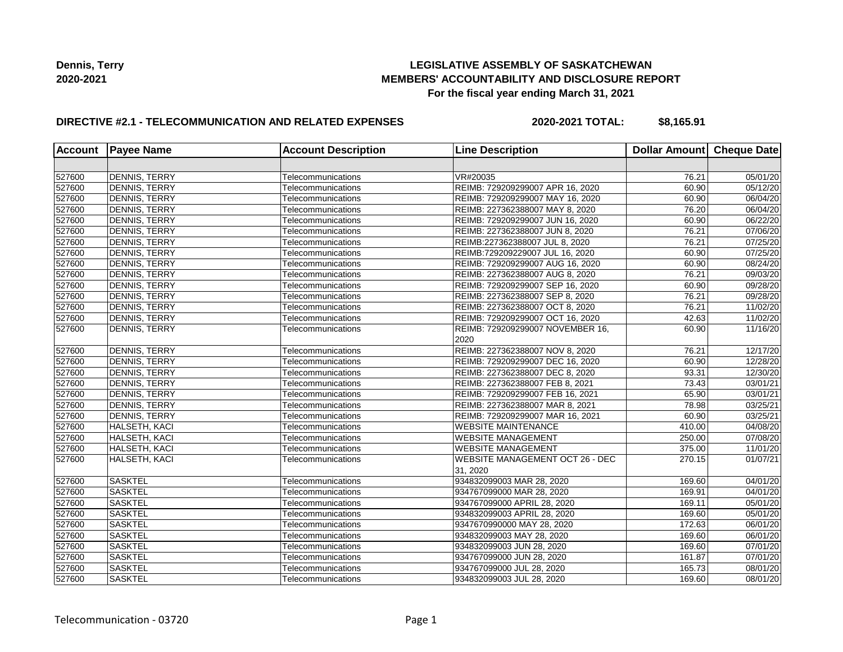## **LEGISLATIVE ASSEMBLY OF SASKATCHEWAN MEMBERS' ACCOUNTABILITY AND DISCLOSURE REPORT For the fiscal year ending March 31, 2021**

## **DIRECTIVE #2.1 - TELECOMMUNICATION AND RELATED EXPENSES**

**2020-2021 TOTAL: \$8,165.91**

| <b>Account</b> | <b>Payee Name</b>    | <b>Account Description</b> | <b>Line Description</b>                            | Dollar Amount   Cheque Date |                       |
|----------------|----------------------|----------------------------|----------------------------------------------------|-----------------------------|-----------------------|
|                |                      |                            |                                                    |                             |                       |
| 527600         | <b>DENNIS, TERRY</b> | Telecommunications         | VR#20035                                           | 76.21                       | 05/01/20              |
| 527600         | <b>DENNIS, TERRY</b> | Telecommunications         | REIMB: 729209299007 APR 16, 2020                   | 60.90                       | 05/12/20              |
| 527600         | <b>DENNIS, TERRY</b> | Telecommunications         | REIMB: 729209299007 MAY 16, 2020                   | 60.90                       | 06/04/20              |
| 527600         | DENNIS, TERRY        | Telecommunications         | REIMB: 227362388007 MAY 8, 2020                    | 76.20                       | 06/04/20              |
| 527600         | DENNIS, TERRY        | Telecommunications         | REIMB: 729209299007 JUN 16, 2020                   | 60.90                       | 06/22/20              |
| 527600         | DENNIS, TERRY        | Telecommunications         | REIMB: 227362388007 JUN 8, 2020                    | 76.21                       | 07/06/20              |
| 527600         | <b>DENNIS, TERRY</b> | Telecommunications         | REIMB:227362388007 JUL 8, 2020                     | 76.21                       | 07/25/20              |
| 527600         | <b>DENNIS, TERRY</b> | Telecommunications         | REIMB:729209229007 JUL 16, 2020                    | 60.90                       | 07/25/20              |
| 527600         | DENNIS, TERRY        | Telecommunications         | REIMB: 729209299007 AUG 16, 2020                   | 60.90                       | 08/24/20              |
| 527600         | DENNIS, TERRY        | Telecommunications         | REIMB: 227362388007 AUG 8, 2020                    | 76.21                       | 09/03/20              |
| 527600         | <b>DENNIS, TERRY</b> | Telecommunications         | REIMB: 729209299007 SEP 16, 2020                   | 60.90                       | 09/28/20              |
| 527600         | DENNIS, TERRY        | Telecommunications         | REIMB: 227362388007 SEP 8, 2020                    | 76.21                       | 09/28/20              |
| 527600         | <b>DENNIS, TERRY</b> | Telecommunications         | REIMB: 227362388007 OCT 8, 2020                    | 76.21                       | 11/02/20              |
| 527600         | <b>DENNIS, TERRY</b> | Telecommunications         | REIMB: 729209299007 OCT 16, 2020                   | 42.63                       | 11/02/20              |
| 527600         | DENNIS, TERRY        | Telecommunications         | REIMB: 729209299007 NOVEMBER 16,<br>2020           | 60.90                       | 11/16/20              |
| 527600         | <b>DENNIS, TERRY</b> | Telecommunications         | REIMB: 227362388007 NOV 8, 2020                    | 76.21                       | 12/17/20              |
| 527600         | DENNIS, TERRY        | Telecommunications         | REIMB: 729209299007 DEC 16, 2020                   | 60.90                       | 12/28/20              |
| 527600         | <b>DENNIS, TERRY</b> | Telecommunications         | REIMB: 227362388007 DEC 8, 2020                    | 93.31                       | 12/30/20              |
| 527600         | <b>DENNIS, TERRY</b> | Telecommunications         | REIMB: 227362388007 FEB 8, 2021                    | 73.43                       | 03/01/21              |
| 527600         | <b>DENNIS, TERRY</b> | Telecommunications         | REIMB: 729209299007 FEB 16, 2021                   | 65.90                       | 03/01/21              |
| 527600         | DENNIS, TERRY        | Telecommunications         | REIMB: 227362388007 MAR 8, 2021                    | 78.98                       | 03/25/21              |
| 527600         | DENNIS, TERRY        | Telecommunications         | REIMB: 729209299007 MAR 16, 2021                   | 60.90                       | 03/25/21              |
| 527600         | HALSETH, KACI        | Telecommunications         | <b>WEBSITE MAINTENANCE</b>                         | 410.00                      | 04/08/20              |
| 527600         | HALSETH, KACI        | Telecommunications         | <b>WEBSITE MANAGEMENT</b>                          | 250.00                      | 07/08/20              |
| 527600         | HALSETH, KACI        | Telecommunications         | <b>WEBSITE MANAGEMENT</b>                          | 375.00                      | $\overline{11}/01/20$ |
| 527600         | HALSETH, KACI        | Telecommunications         | <b>WEBSITE MANAGEMENT OCT 26 - DEC</b><br>31, 2020 | 270.15                      | 01/07/21              |
| 527600         | <b>SASKTEL</b>       | Telecommunications         | 934832099003 MAR 28, 2020                          | 169.60                      | 04/01/20              |
| 527600         | <b>SASKTEL</b>       | Telecommunications         | 934767099000 MAR 28, 2020                          | 169.91                      | 04/01/20              |
| 527600         | <b>SASKTEL</b>       | Telecommunications         | 934767099000 APRIL 28, 2020                        | 169.11                      | 05/01/20              |
| 527600         | <b>SASKTEL</b>       | Telecommunications         | 934832099003 APRIL 28, 2020                        | 169.60                      | 05/01/20              |
| 527600         | SASKTEL              | Telecommunications         | 9347670990000 MAY 28, 2020                         | 172.63                      | 06/01/20              |
| 527600         | <b>SASKTEL</b>       | Telecommunications         | 934832099003 MAY 28, 2020                          | 169.60                      | $\overline{06}/01/20$ |
| 527600         | <b>SASKTEL</b>       | Telecommunications         | 934832099003 JUN 28, 2020                          | 169.60                      | $\overline{07}/01/20$ |
| 527600         | <b>SASKTEL</b>       | Telecommunications         | 934767099000 JUN 28, 2020                          | 161.87                      | 07/01/20              |
| 527600         | <b>SASKTEL</b>       | Telecommunications         | 934767099000 JUL 28, 2020                          | 165.73                      | 08/01/20              |
| 527600         | <b>SASKTEL</b>       | Telecommunications         | 934832099003 JUL 28, 2020                          | 169.60                      | 08/01/20              |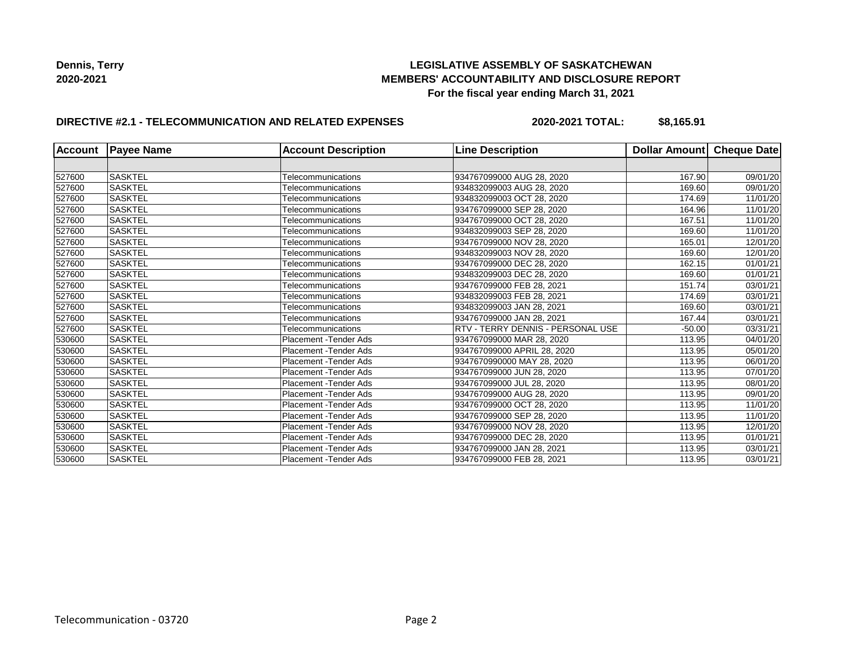## **LEGISLATIVE ASSEMBLY OF SASKATCHEWAN MEMBERS' ACCOUNTABILITY AND DISCLOSURE REPORT For the fiscal year ending March 31, 2021**

## **DIRECTIVE #2.1 - TELECOMMUNICATION AND RELATED EXPENSES**

**2020-2021 TOTAL: \$8,165.91**

| <b>Account</b> | <b>Payee Name</b> | <b>Account Description</b> | <b>Line Description</b>                  | Dollar Amount | <b>Cheque Date</b> |
|----------------|-------------------|----------------------------|------------------------------------------|---------------|--------------------|
|                |                   |                            |                                          |               |                    |
| 527600         | <b>SASKTEL</b>    | Telecommunications         | 934767099000 AUG 28, 2020                | 167.90        | 09/01/20           |
| 527600         | <b>SASKTEL</b>    | Telecommunications         | 934832099003 AUG 28, 2020                | 169.60        | 09/01/20           |
| 527600         | <b>SASKTEL</b>    | Telecommunications         | 934832099003 OCT 28, 2020                | 174.69        | 11/01/20           |
| 527600         | <b>SASKTEL</b>    | Telecommunications         | 934767099000 SEP 28, 2020                | 164.96        | 11/01/20           |
| 527600         | <b>SASKTEL</b>    | Telecommunications         | 934767099000 OCT 28, 2020                | 167.51        | 11/01/20           |
| 527600         | <b>SASKTEL</b>    | Telecommunications         | 934832099003 SEP 28, 2020                | 169.60        | 11/01/20           |
| 527600         | <b>SASKTEL</b>    | Telecommunications         | 934767099000 NOV 28, 2020                | 165.01        | 12/01/20           |
| 527600         | <b>SASKTEL</b>    | Telecommunications         | 934832099003 NOV 28. 2020                | 169.60        | 12/01/20           |
| 527600         | <b>SASKTEL</b>    | Telecommunications         | 934767099000 DEC 28, 2020                | 162.15        | 01/01/21           |
| 527600         | <b>SASKTEL</b>    | Telecommunications         | 934832099003 DEC 28, 2020                | 169.60        | 01/01/21           |
| 527600         | <b>SASKTEL</b>    | Telecommunications         | 934767099000 FEB 28, 2021                | 151.74        | 03/01/21           |
| 527600         | <b>SASKTEL</b>    | Telecommunications         | 934832099003 FEB 28, 2021                | 174.69        | 03/01/21           |
| 527600         | <b>SASKTEL</b>    | Telecommunications         | 934832099003 JAN 28, 2021                | 169.60        | 03/01/21           |
| 527600         | <b>SASKTEL</b>    | Telecommunications         | 934767099000 JAN 28, 2021                | 167.44        | 03/01/21           |
| 527600         | <b>SASKTEL</b>    | Telecommunications         | <b>RTV - TERRY DENNIS - PERSONAL USE</b> | $-50.00$      | 03/31/21           |
| 530600         | <b>SASKTEL</b>    | Placement -Tender Ads      | 934767099000 MAR 28, 2020                | 113.95        | 04/01/20           |
| 530600         | <b>SASKTEL</b>    | Placement - Tender Ads     | 934767099000 APRIL 28, 2020              | 113.95        | 05/01/20           |
| 530600         | <b>SASKTEL</b>    | Placement -Tender Ads      | 9347670990000 MAY 28, 2020               | 113.95        | 06/01/20           |
| 530600         | <b>SASKTEL</b>    | Placement - Tender Ads     | 934767099000 JUN 28, 2020                | 113.95        | 07/01/20           |
| 530600         | <b>SASKTEL</b>    | Placement - Tender Ads     | 934767099000 JUL 28, 2020                | 113.95        | 08/01/20           |
| 530600         | <b>SASKTEL</b>    | Placement -Tender Ads      | 934767099000 AUG 28, 2020                | 113.95        | 09/01/20           |
| 530600         | <b>SASKTEL</b>    | Placement -Tender Ads      | 934767099000 OCT 28, 2020                | 113.95        | 11/01/20           |
| 530600         | <b>SASKTEL</b>    | Placement - Tender Ads     | 934767099000 SEP 28, 2020                | 113.95        | 11/01/20           |
| 530600         | <b>SASKTEL</b>    | Placement -Tender Ads      | 934767099000 NOV 28, 2020                | 113.95        | 12/01/20           |
| 530600         | <b>SASKTEL</b>    | Placement - Tender Ads     | 934767099000 DEC 28, 2020                | 113.95        | 01/01/21           |
| 530600         | <b>SASKTEL</b>    | Placement -Tender Ads      | 934767099000 JAN 28, 2021                | 113.95        | 03/01/21           |
| 530600         | <b>SASKTEL</b>    | Placement - Tender Ads     | 934767099000 FEB 28, 2021                | 113.95        | 03/01/21           |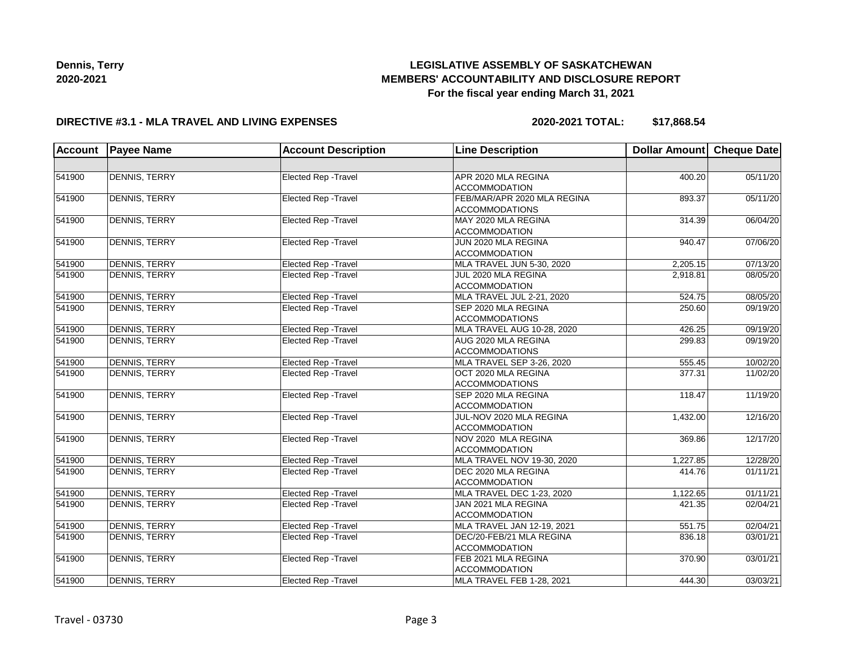# **LEGISLATIVE ASSEMBLY OF SASKATCHEWAN MEMBERS' ACCOUNTABILITY AND DISCLOSURE REPORT For the fiscal year ending March 31, 2021**

#### **DIRECTIVE #3.1 - MLA TRAVEL AND LIVING EXPENSES**

**2020-2021 TOTAL: \$17,868.54**

| Account | <b>Payee Name</b>    | <b>Account Description</b>  | <b>Line Description</b>     | Dollar Amount | <b>Cheque Date</b> |
|---------|----------------------|-----------------------------|-----------------------------|---------------|--------------------|
|         |                      |                             |                             |               |                    |
| 541900  | DENNIS, TERRY        | Elected Rep - Travel        | APR 2020 MLA REGINA         | 400.20        | 05/11/20           |
|         |                      |                             | <b>ACCOMMODATION</b>        |               |                    |
| 541900  | <b>DENNIS, TERRY</b> | <b>Elected Rep - Travel</b> | FEB/MAR/APR 2020 MLA REGINA | 893.37        | 05/11/20           |
|         |                      |                             | <b>ACCOMMODATIONS</b>       |               |                    |
| 541900  | <b>DENNIS, TERRY</b> | Elected Rep - Travel        | MAY 2020 MLA REGINA         | 314.39        | 06/04/20           |
|         |                      |                             | <b>ACCOMMODATION</b>        |               |                    |
| 541900  | <b>DENNIS, TERRY</b> | Elected Rep - Travel        | JUN 2020 MLA REGINA         | 940.47        | 07/06/20           |
|         |                      |                             | <b>ACCOMMODATION</b>        |               |                    |
| 541900  | <b>DENNIS, TERRY</b> | Elected Rep - Travel        | MLA TRAVEL JUN 5-30, 2020   | 2,205.15      | 07/13/20           |
| 541900  | <b>DENNIS, TERRY</b> | <b>Elected Rep - Travel</b> | JUL 2020 MLA REGINA         | 2,918.81      | 08/05/20           |
|         |                      |                             | <b>ACCOMMODATION</b>        |               |                    |
| 541900  | <b>DENNIS, TERRY</b> | Elected Rep - Travel        | MLA TRAVEL JUL 2-21, 2020   | 524.75        | 08/05/20           |
| 541900  | <b>DENNIS, TERRY</b> | Elected Rep - Travel        | SEP 2020 MLA REGINA         | 250.60        | 09/19/20           |
|         |                      |                             | <b>ACCOMMODATIONS</b>       |               |                    |
| 541900  | <b>DENNIS, TERRY</b> | Elected Rep - Travel        | MLA TRAVEL AUG 10-28, 2020  | 426.25        | 09/19/20           |
| 541900  | <b>DENNIS, TERRY</b> | Elected Rep - Travel        | AUG 2020 MLA REGINA         | 299.83        | 09/19/20           |
|         |                      |                             | <b>ACCOMMODATIONS</b>       |               |                    |
| 541900  | <b>DENNIS, TERRY</b> | Elected Rep - Travel        | MLA TRAVEL SEP 3-26, 2020   | 555.45        | 10/02/20           |
| 541900  | <b>DENNIS, TERRY</b> | Elected Rep - Travel        | OCT 2020 MLA REGINA         | 377.31        | 11/02/20           |
|         |                      |                             | <b>ACCOMMODATIONS</b>       |               |                    |
| 541900  | <b>DENNIS, TERRY</b> | Elected Rep - Travel        | SEP 2020 MLA REGINA         | 118.47        | 11/19/20           |
|         |                      |                             | <b>ACCOMMODATION</b>        |               |                    |
| 541900  | <b>DENNIS, TERRY</b> | <b>Elected Rep - Travel</b> | JUL-NOV 2020 MLA REGINA     | 1,432.00      | 12/16/20           |
|         |                      |                             | <b>ACCOMMODATION</b>        |               |                    |
| 541900  | <b>DENNIS, TERRY</b> | Elected Rep - Travel        | NOV 2020 MLA REGINA         | 369.86        | 12/17/20           |
|         |                      |                             | <b>ACCOMMODATION</b>        |               |                    |
| 541900  | <b>DENNIS, TERRY</b> | <b>Elected Rep - Travel</b> | MLA TRAVEL NOV 19-30, 2020  | 1,227.85      | 12/28/20           |
| 541900  | <b>DENNIS, TERRY</b> | Elected Rep - Travel        | DEC 2020 MLA REGINA         | 414.76        | 01/11/21           |
|         |                      |                             | <b>ACCOMMODATION</b>        |               |                    |
| 541900  | <b>DENNIS, TERRY</b> | <b>Elected Rep - Travel</b> | MLA TRAVEL DEC 1-23, 2020   | 1,122.65      | 01/11/21           |
| 541900  | <b>DENNIS, TERRY</b> | Elected Rep - Travel        | JAN 2021 MLA REGINA         | 421.35        | 02/04/21           |
|         |                      |                             | <b>ACCOMMODATION</b>        |               |                    |
| 541900  | <b>DENNIS, TERRY</b> | Elected Rep - Travel        | MLA TRAVEL JAN 12-19, 2021  | 551.75        | 02/04/21           |
| 541900  | <b>DENNIS, TERRY</b> | <b>Elected Rep - Travel</b> | DEC/20-FEB/21 MLA REGINA    | 836.18        | 03/01/21           |
|         |                      |                             | <b>ACCOMMODATION</b>        |               |                    |
| 541900  | <b>DENNIS, TERRY</b> | <b>Elected Rep - Travel</b> | FEB 2021 MLA REGINA         | 370.90        | 03/01/21           |
|         |                      |                             | <b>ACCOMMODATION</b>        |               |                    |
| 541900  | <b>DENNIS, TERRY</b> | Elected Rep - Travel        | MLA TRAVEL FEB 1-28, 2021   | 444.30        | 03/03/21           |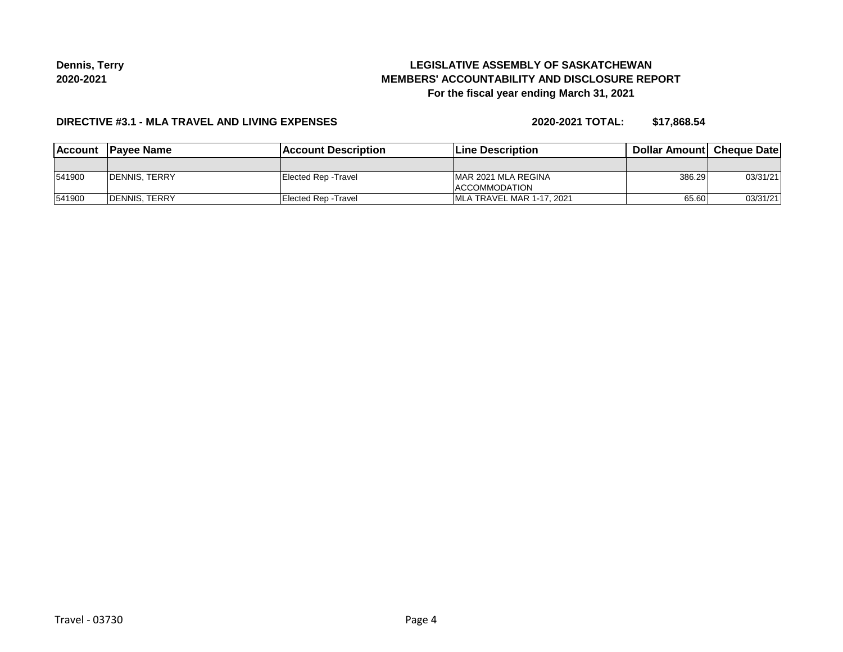# **LEGISLATIVE ASSEMBLY OF SASKATCHEWAN MEMBERS' ACCOUNTABILITY AND DISCLOSURE REPORT For the fiscal year ending March 31, 2021**

#### **DIRECTIVE #3.1 - MLA TRAVEL AND LIVING EXPENSES**

**2020-2021 TOTAL: \$17,868.54**

| <b>IAccount</b> | <b>IPavee Name</b>   | <b>Account Description</b> | <b>Line Description</b>                      | <b>Dollar Amountl Cheque Date</b> |          |
|-----------------|----------------------|----------------------------|----------------------------------------------|-----------------------------------|----------|
|                 |                      |                            |                                              |                                   |          |
| 541900          | <b>DENNIS, TERRY</b> | Elected Rep - Travel       | IMAR 2021 MLA REGINA<br><b>ACCOMMODATION</b> | 386.29                            | 03/31/21 |
| 541900          | <b>DENNIS, TERRY</b> | Elected Rep - Travel       | IMLA TRAVEL MAR 1-17, 2021                   | 65.60                             | 03/31/21 |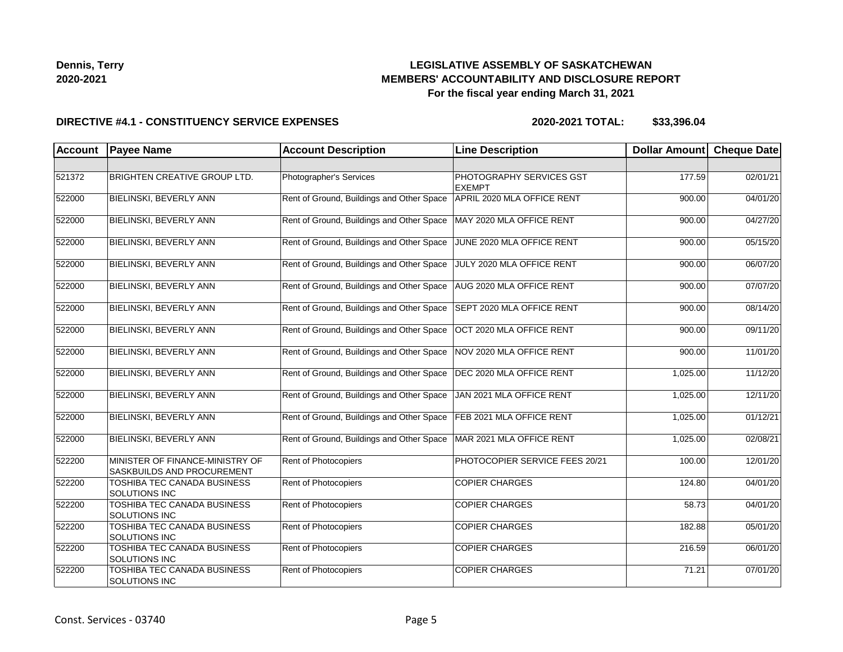## **LEGISLATIVE ASSEMBLY OF SASKATCHEWAN MEMBERS' ACCOUNTABILITY AND DISCLOSURE REPORT For the fiscal year ending March 31, 2021**

#### **DIRECTIVE #4.1 - CONSTITUENCY SERVICE EXPENSES**

| <b>Account</b> | <b>Payee Name</b>                                                    | <b>Account Description</b>                | <b>Line Description</b>                   | <b>Dollar Amount</b> | <b>Cheque Date</b> |
|----------------|----------------------------------------------------------------------|-------------------------------------------|-------------------------------------------|----------------------|--------------------|
|                |                                                                      |                                           |                                           |                      |                    |
| 521372         | <b>BRIGHTEN CREATIVE GROUP LTD.</b>                                  | Photographer's Services                   | PHOTOGRAPHY SERVICES GST<br><b>EXEMPT</b> | 177.59               | 02/01/21           |
| 522000         | <b>BIELINSKI, BEVERLY ANN</b>                                        | Rent of Ground, Buildings and Other Space | APRIL 2020 MLA OFFICE RENT                | 900.00               | 04/01/20           |
| 522000         | <b>BIELINSKI, BEVERLY ANN</b>                                        | Rent of Ground, Buildings and Other Space | MAY 2020 MLA OFFICE RENT                  | 900.00               | 04/27/20           |
| 522000         | <b>BIELINSKI, BEVERLY ANN</b>                                        | Rent of Ground, Buildings and Other Space | JUNE 2020 MLA OFFICE RENT                 | 900.00               | 05/15/20           |
| 522000         | BIELINSKI, BEVERLY ANN                                               | Rent of Ground, Buildings and Other Space | JULY 2020 MLA OFFICE RENT                 | 900.00               | 06/07/20           |
| 522000         | BIELINSKI, BEVERLY ANN                                               | Rent of Ground, Buildings and Other Space | AUG 2020 MLA OFFICE RENT                  | 900.00               | 07/07/20           |
| 522000         | <b>BIELINSKI, BEVERLY ANN</b>                                        | Rent of Ground, Buildings and Other Space | SEPT 2020 MLA OFFICE RENT                 | 900.00               | 08/14/20           |
| 522000         | <b>BIELINSKI, BEVERLY ANN</b>                                        | Rent of Ground, Buildings and Other Space | OCT 2020 MLA OFFICE RENT                  | 900.00               | 09/11/20           |
| 522000         | BIELINSKI, BEVERLY ANN                                               | Rent of Ground, Buildings and Other Space | NOV 2020 MLA OFFICE RENT                  | 900.00               | 11/01/20           |
| 522000         | BIELINSKI, BEVERLY ANN                                               | Rent of Ground, Buildings and Other Space | DEC 2020 MLA OFFICE RENT                  | 1,025.00             | 11/12/20           |
| 522000         | <b>BIELINSKI, BEVERLY ANN</b>                                        | Rent of Ground, Buildings and Other Space | JAN 2021 MLA OFFICE RENT                  | 1,025.00             | 12/11/20           |
| 522000         | BIELINSKI, BEVERLY ANN                                               | Rent of Ground, Buildings and Other Space | FEB 2021 MLA OFFICE RENT                  | 1,025.00             | 01/12/21           |
| 522000         | <b>BIELINSKI, BEVERLY ANN</b>                                        | Rent of Ground, Buildings and Other Space | MAR 2021 MLA OFFICE RENT                  | 1,025.00             | 02/08/21           |
| 522200         | MINISTER OF FINANCE-MINISTRY OF<br><b>SASKBUILDS AND PROCUREMENT</b> | Rent of Photocopiers                      | PHOTOCOPIER SERVICE FEES 20/21            | 100.00               | 12/01/20           |
| 522200         | TOSHIBA TEC CANADA BUSINESS<br><b>SOLUTIONS INC</b>                  | <b>Rent of Photocopiers</b>               | <b>COPIER CHARGES</b>                     | 124.80               | 04/01/20           |
| 522200         | TOSHIBA TEC CANADA BUSINESS<br><b>SOLUTIONS INC</b>                  | <b>Rent of Photocopiers</b>               | <b>COPIER CHARGES</b>                     | 58.73                | 04/01/20           |
| 522200         | TOSHIBA TEC CANADA BUSINESS<br><b>SOLUTIONS INC</b>                  | Rent of Photocopiers                      | <b>COPIER CHARGES</b>                     | 182.88               | 05/01/20           |
| 522200         | TOSHIBA TEC CANADA BUSINESS<br><b>SOLUTIONS INC</b>                  | Rent of Photocopiers                      | <b>COPIER CHARGES</b>                     | 216.59               | 06/01/20           |
| 522200         | TOSHIBA TEC CANADA BUSINESS<br>SOLUTIONS INC                         | Rent of Photocopiers                      | <b>COPIER CHARGES</b>                     | 71.21                | 07/01/20           |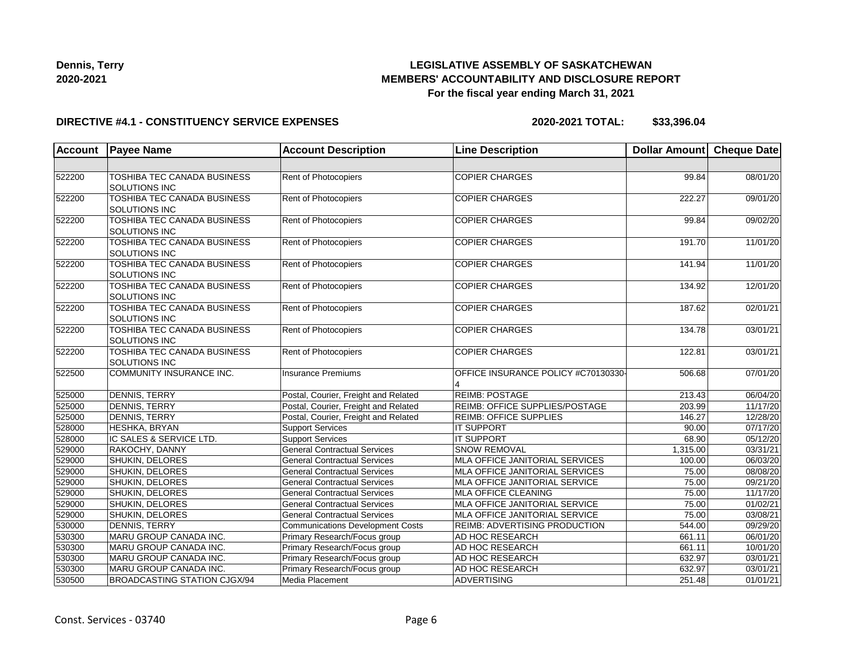

## **LEGISLATIVE ASSEMBLY OF SASKATCHEWAN MEMBERS' ACCOUNTABILITY AND DISCLOSURE REPORT For the fiscal year ending March 31, 2021**

#### **DIRECTIVE #4.1 - CONSTITUENCY SERVICE EXPENSES**

| <b>Account</b> | <b>Payee Name</b>                                          | <b>Account Description</b>              | <b>Line Description</b>             | Dollar Amount | <b>Cheque Date</b> |
|----------------|------------------------------------------------------------|-----------------------------------------|-------------------------------------|---------------|--------------------|
|                |                                                            |                                         |                                     |               |                    |
| 522200         | TOSHIBA TEC CANADA BUSINESS<br><b>SOLUTIONS INC</b>        | Rent of Photocopiers                    | <b>COPIER CHARGES</b>               | 99.84         | 08/01/20           |
| 522200         | <b>TOSHIBA TEC CANADA BUSINESS</b><br><b>SOLUTIONS INC</b> | <b>Rent of Photocopiers</b>             | <b>COPIER CHARGES</b>               | 222.27        | 09/01/20           |
| 522200         | TOSHIBA TEC CANADA BUSINESS<br><b>SOLUTIONS INC</b>        | Rent of Photocopiers                    | <b>COPIER CHARGES</b>               | 99.84         | 09/02/20           |
| 522200         | TOSHIBA TEC CANADA BUSINESS<br><b>SOLUTIONS INC</b>        | Rent of Photocopiers                    | <b>COPIER CHARGES</b>               | 191.70        | 11/01/20           |
| 522200         | TOSHIBA TEC CANADA BUSINESS<br><b>SOLUTIONS INC</b>        | Rent of Photocopiers                    | <b>COPIER CHARGES</b>               | 141.94        | 11/01/20           |
| 522200         | TOSHIBA TEC CANADA BUSINESS<br><b>SOLUTIONS INC</b>        | Rent of Photocopiers                    | <b>COPIER CHARGES</b>               | 134.92        | 12/01/20           |
| 522200         | TOSHIBA TEC CANADA BUSINESS<br><b>SOLUTIONS INC</b>        | Rent of Photocopiers                    | <b>COPIER CHARGES</b>               | 187.62        | 02/01/21           |
| 522200         | TOSHIBA TEC CANADA BUSINESS<br><b>SOLUTIONS INC</b>        | Rent of Photocopiers                    | <b>COPIER CHARGES</b>               | 134.78        | 03/01/21           |
| 522200         | TOSHIBA TEC CANADA BUSINESS<br><b>SOLUTIONS INC</b>        | Rent of Photocopiers                    | <b>COPIER CHARGES</b>               | 122.81        | 03/01/21           |
| 522500         | COMMUNITY INSURANCE INC.                                   | <b>Insurance Premiums</b>               | OFFICE INSURANCE POLICY #C70130330- | 506.68        | 07/01/20           |
| 525000         | <b>DENNIS, TERRY</b>                                       | Postal, Courier, Freight and Related    | <b>REIMB: POSTAGE</b>               | 213.43        | 06/04/20           |
| 525000         | <b>DENNIS, TERRY</b>                                       | Postal, Courier, Freight and Related    | REIMB: OFFICE SUPPLIES/POSTAGE      | 203.99        | 11/17/20           |
| 525000         | DENNIS, TERRY                                              | Postal, Courier, Freight and Related    | <b>REIMB: OFFICE SUPPLIES</b>       | 146.27        | 12/28/20           |
| 528000         | HESHKA, BRYAN                                              | <b>Support Services</b>                 | <b>IT SUPPORT</b>                   | 90.00         | 07/17/20           |
| 528000         | IC SALES & SERVICE LTD.                                    | <b>Support Services</b>                 | <b>IT SUPPORT</b>                   | 68.90         | 05/12/20           |
| 529000         | RAKOCHY, DANNY                                             | <b>General Contractual Services</b>     | SNOW REMOVAL                        | 1,315.00      | 03/31/21           |
| 529000         | SHUKIN, DELORES                                            | <b>General Contractual Services</b>     | MLA OFFICE JANITORIAL SERVICES      | 100.00        | 06/03/20           |
| 529000         | SHUKIN, DELORES                                            | <b>General Contractual Services</b>     | MLA OFFICE JANITORIAL SERVICES      | 75.00         | 08/08/20           |
| 529000         | SHUKIN, DELORES                                            | <b>General Contractual Services</b>     | MLA OFFICE JANITORIAL SERVICE       | 75.00         | 09/21/20           |
| 529000         | SHUKIN, DELORES                                            | <b>General Contractual Services</b>     | <b>MLA OFFICE CLEANING</b>          | 75.00         | 11/17/20           |
| 529000         | SHUKIN, DELORES                                            | <b>General Contractual Services</b>     | MLA OFFICE JANITORIAL SERVICE       | 75.00         | 01/02/21           |
| 529000         | SHUKIN, DELORES                                            | <b>General Contractual Services</b>     | MLA OFFICE JANITORIAL SERVICE       | 75.00         | 03/08/21           |
| 530000         | <b>DENNIS, TERRY</b>                                       | <b>Communications Development Costs</b> | REIMB: ADVERTISING PRODUCTION       | 544.00        | 09/29/20           |
| 530300         | MARU GROUP CANADA INC.                                     | Primary Research/Focus group            | AD HOC RESEARCH                     | 661.11        | 06/01/20           |
| 530300         | MARU GROUP CANADA INC.                                     | Primary Research/Focus group            | AD HOC RESEARCH                     | 661.11        | 10/01/20           |
| 530300         | MARU GROUP CANADA INC.                                     | Primary Research/Focus group            | AD HOC RESEARCH                     | 632.97        | 03/01/21           |
| 530300         | MARU GROUP CANADA INC.                                     | Primary Research/Focus group            | AD HOC RESEARCH                     | 632.97        | 03/01/21           |
| 530500         | <b>BROADCASTING STATION CJGX/94</b>                        | Media Placement                         | ADVERTISING                         | 251.48        | 01/01/21           |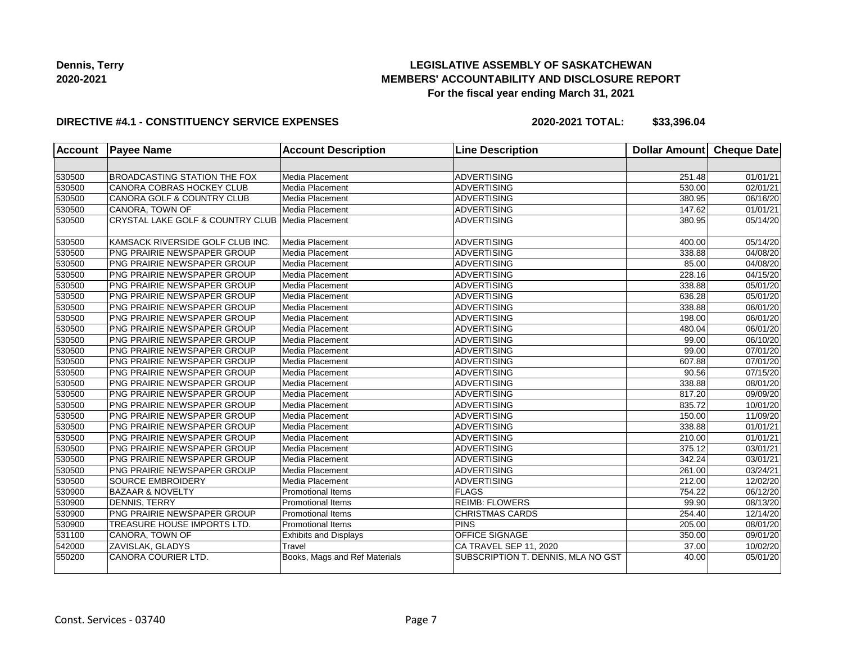## **LEGISLATIVE ASSEMBLY OF SASKATCHEWAN MEMBERS' ACCOUNTABILITY AND DISCLOSURE REPORT For the fiscal year ending March 31, 2021**

#### **DIRECTIVE #4.1 - CONSTITUENCY SERVICE EXPENSES**

| <b>Account</b> | <b>Payee Name</b>                                | <b>Account Description</b>    | <b>Line Description</b>            | <b>Dollar Amount</b> | <b>Cheque Date</b> |
|----------------|--------------------------------------------------|-------------------------------|------------------------------------|----------------------|--------------------|
|                |                                                  |                               |                                    |                      |                    |
| 530500         | <b>BROADCASTING STATION THE FOX</b>              | Media Placement               | <b>ADVERTISING</b>                 | 251.48               | 01/01/21           |
| 530500         | CANORA COBRAS HOCKEY CLUB                        | Media Placement               | <b>ADVERTISING</b>                 | 530.00               | 02/01/21           |
| 530500         | CANORA GOLF & COUNTRY CLUB                       | Media Placement               | <b>ADVERTISING</b>                 | 380.95               | 06/16/20           |
| 530500         | CANORA, TOWN OF                                  | Media Placement               | ADVERTISING                        | 147.62               | 01/01/21           |
| 530500         | CRYSTAL LAKE GOLF & COUNTRY CLUB Media Placement |                               | <b>ADVERTISING</b>                 | 380.95               | 05/14/20           |
| 530500         | KAMSACK RIVERSIDE GOLF CLUB INC.                 | Media Placement               | ADVERTISING                        | 400.00               | 05/14/20           |
| 530500         | <b>PNG PRAIRIE NEWSPAPER GROUP</b>               | Media Placement               | ADVERTISING                        | 338.88               | 04/08/20           |
| 530500         | PNG PRAIRIE NEWSPAPER GROUP                      | Media Placement               | <b>ADVERTISING</b>                 | 85.00                | 04/08/20           |
| 530500         | PNG PRAIRIE NEWSPAPER GROUP                      | Media Placement               | <b>ADVERTISING</b>                 | 228.16               | 04/15/20           |
| 530500         | <b>PNG PRAIRIE NEWSPAPER GROUP</b>               | Media Placement               | <b>ADVERTISING</b>                 | 338.88               | 05/01/20           |
| 530500         | PNG PRAIRIE NEWSPAPER GROUP                      | Media Placement               | <b>ADVERTISING</b>                 | 636.28               | 05/01/20           |
| 530500         | PNG PRAIRIE NEWSPAPER GROUP                      | Media Placement               | ADVERTISING                        | 338.88               | 06/01/20           |
| 530500         | PNG PRAIRIE NEWSPAPER GROUP                      | Media Placement               | ADVERTISING                        | 198.00               | 06/01/20           |
| 530500         | <b>PNG PRAIRIE NEWSPAPER GROUP</b>               | Media Placement               | ADVERTISING                        | 480.04               | 06/01/20           |
| 530500         | <b>PNG PRAIRIE NEWSPAPER GROUP</b>               | Media Placement               | ADVERTISING                        | 99.00                | 06/10/20           |
| 530500         | PNG PRAIRIE NEWSPAPER GROUP                      | Media Placement               | <b>ADVERTISING</b>                 | 99.00                | 07/01/20           |
| 530500         | PNG PRAIRIE NEWSPAPER GROUP                      | Media Placement               | <b>ADVERTISING</b>                 | 607.88               | 07/01/20           |
| 530500         | PNG PRAIRIE NEWSPAPER GROUP                      | Media Placement               | <b>ADVERTISING</b>                 | 90.56                | 07/15/20           |
| 530500         | PNG PRAIRIE NEWSPAPER GROUP                      | Media Placement               | <b>ADVERTISING</b>                 | 338.88               | 08/01/20           |
| 530500         | PNG PRAIRIE NEWSPAPER GROUP                      | Media Placement               | ADVERTISING                        | 817.20               | 09/09/20           |
| 530500         | PNG PRAIRIE NEWSPAPER GROUP                      | Media Placement               | ADVERTISING                        | 835.72               | 10/01/20           |
| 530500         | PNG PRAIRIE NEWSPAPER GROUP                      | Media Placement               | ADVERTISING                        | 150.00               | 11/09/20           |
| 530500         | PNG PRAIRIE NEWSPAPER GROUP                      | Media Placement               | <b>ADVERTISING</b>                 | 338.88               | 01/01/21           |
| 530500         | PNG PRAIRIE NEWSPAPER GROUP                      | Media Placement               | <b>ADVERTISING</b>                 | 210.00               | 01/01/21           |
| 530500         | PNG PRAIRIE NEWSPAPER GROUP                      | Media Placement               | <b>ADVERTISING</b>                 | 375.12               | 03/01/21           |
| 530500         | PNG PRAIRIE NEWSPAPER GROUP                      | Media Placement               | <b>ADVERTISING</b>                 | 342.24               | 03/01/21           |
| 530500         | <b>PNG PRAIRIE NEWSPAPER GROUP</b>               | Media Placement               | <b>ADVERTISING</b>                 | 261.00               | 03/24/21           |
| 530500         | <b>SOURCE EMBROIDERY</b>                         | Media Placement               | ADVERTISING                        | 212.00               | 12/02/20           |
| 530900         | <b>BAZAAR &amp; NOVELTY</b>                      | <b>Promotional Items</b>      | FLAGS                              | 754.22               | 06/12/20           |
| 530900         | <b>DENNIS, TERRY</b>                             | <b>Promotional Items</b>      | <b>REIMB: FLOWERS</b>              | 99.90                | 08/13/20           |
| 530900         | PNG PRAIRIE NEWSPAPER GROUP                      | Promotional Items             | <b>CHRISTMAS CARDS</b>             | 254.40               | 12/14/20           |
| 530900         | TREASURE HOUSE IMPORTS LTD.                      | <b>Promotional Items</b>      | <b>PINS</b>                        | 205.00               | 08/01/20           |
| 531100         | CANORA, TOWN OF                                  | <b>Exhibits and Displays</b>  | OFFICE SIGNAGE                     | 350.00               | 09/01/20           |
| 542000         | ZAVISLAK, GLADYS                                 | Travel                        | CA TRAVEL SEP 11, 2020             | 37.00                | 10/02/20           |
| 550200         | CANORA COURIER LTD.                              | Books, Mags and Ref Materials | SUBSCRIPTION T. DENNIS, MLA NO GST | 40.00                | 05/01/20           |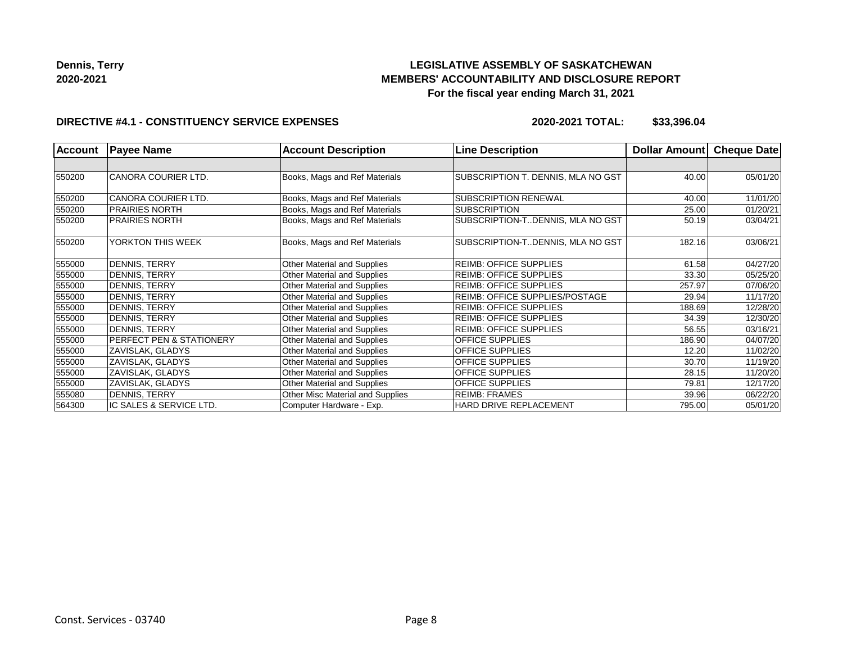## **LEGISLATIVE ASSEMBLY OF SASKATCHEWAN MEMBERS' ACCOUNTABILITY AND DISCLOSURE REPORT For the fiscal year ending March 31, 2021**

#### **DIRECTIVE #4.1 - CONSTITUENCY SERVICE EXPENSES**

| <b>Account</b> | <b>Payee Name</b>                   | <b>Account Description</b>       | <b>Line Description</b>               | Dollar Amount | Cheque Date |
|----------------|-------------------------------------|----------------------------------|---------------------------------------|---------------|-------------|
|                |                                     |                                  |                                       |               |             |
| 550200         | <b>CANORA COURIER LTD.</b>          | Books, Mags and Ref Materials    | SUBSCRIPTION T. DENNIS, MLA NO GST    | 40.00         | 05/01/20    |
| 550200         | <b>CANORA COURIER LTD.</b>          | Books, Mags and Ref Materials    | SUBSCRIPTION RENEWAL                  | 40.00         | 11/01/20    |
| 550200         | <b>PRAIRIES NORTH</b>               | Books, Mags and Ref Materials    | <b>SUBSCRIPTION</b>                   | 25.00         | 01/20/21    |
| 550200         | <b>PRAIRIES NORTH</b>               | Books, Mags and Ref Materials    | SUBSCRIPTION-T. DENNIS, MLA NO GST    | 50.19         | 03/04/21    |
| 550200         | YORKTON THIS WEEK                   | Books, Mags and Ref Materials    | SUBSCRIPTION-T. DENNIS, MLA NO GST    | 182.16        | 03/06/21    |
| 555000         | <b>DENNIS, TERRY</b>                | Other Material and Supplies      | <b>REIMB: OFFICE SUPPLIES</b>         | 61.58         | 04/27/20    |
| 555000         | DENNIS, TERRY                       | Other Material and Supplies      | <b>REIMB: OFFICE SUPPLIES</b>         | 33.30         | 05/25/20    |
| 555000         | DENNIS, TERRY                       | Other Material and Supplies      | <b>REIMB: OFFICE SUPPLIES</b>         | 257.97        | 07/06/20    |
| 555000         | DENNIS, TERRY                       | Other Material and Supplies      | <b>REIMB: OFFICE SUPPLIES/POSTAGE</b> | 29.94         | 11/17/20    |
| 555000         | DENNIS, TERRY                       | Other Material and Supplies      | <b>REIMB: OFFICE SUPPLIES</b>         | 188.69        | 12/28/20    |
| 555000         | DENNIS, TERRY                       | Other Material and Supplies      | <b>REIMB: OFFICE SUPPLIES</b>         | 34.39         | 12/30/20    |
| 555000         | DENNIS, TERRY                       | Other Material and Supplies      | <b>REIMB: OFFICE SUPPLIES</b>         | 56.55         | 03/16/21    |
| 555000         | <b>PERFECT PEN &amp; STATIONERY</b> | Other Material and Supplies      | <b>OFFICE SUPPLIES</b>                | 186.90        | 04/07/20    |
| 555000         | ZAVISLAK, GLADYS                    | Other Material and Supplies      | <b>OFFICE SUPPLIES</b>                | 12.20         | 11/02/20    |
| 555000         | ZAVISLAK, GLADYS                    | Other Material and Supplies      | <b>OFFICE SUPPLIES</b>                | 30.70         | 11/19/20    |
| 555000         | ZAVISLAK, GLADYS                    | Other Material and Supplies      | <b>OFFICE SUPPLIES</b>                | 28.15         | 11/20/20    |
| 555000         | ZAVISLAK, GLADYS                    | Other Material and Supplies      | <b>OFFICE SUPPLIES</b>                | 79.81         | 12/17/20    |
| 555080         | DENNIS, TERRY                       | Other Misc Material and Supplies | <b>REIMB: FRAMES</b>                  | 39.96         | 06/22/20    |
| 564300         | IC SALES & SERVICE LTD.             | Computer Hardware - Exp.         | HARD DRIVE REPLACEMENT                | 795.00        | 05/01/20    |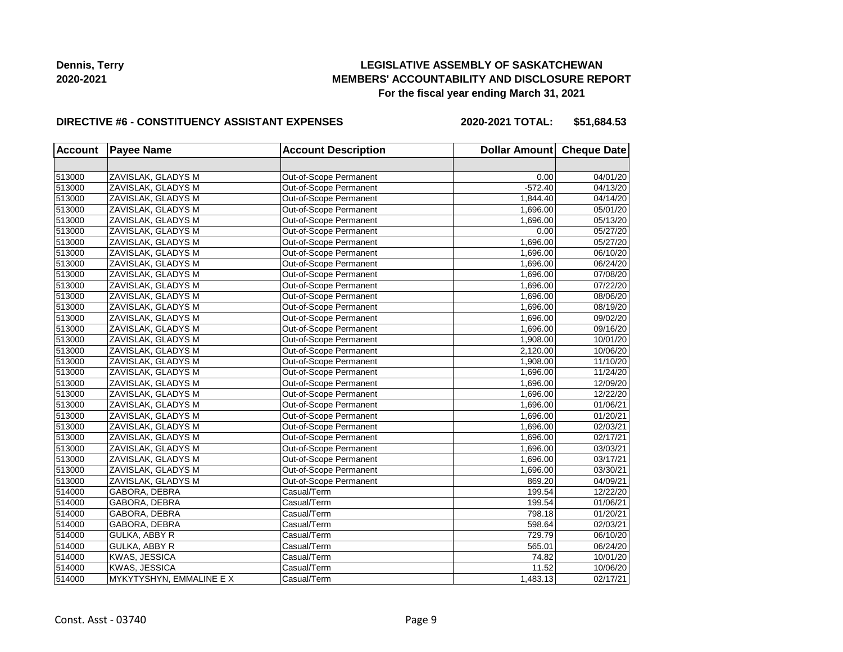## **LEGISLATIVE ASSEMBLY OF SASKATCHEWAN MEMBERS' ACCOUNTABILITY AND DISCLOSURE REPORT For the fiscal year ending March 31, 2021**

#### **DIRECTIVE #6 - CONSTITUENCY ASSISTANT EXPENSES**

**2020-2021 TOTAL: \$51,684.53**

| <b>Account</b> | <b>Payee Name</b>       | <b>Account Description</b> | Dollar Amount Cheque Date |                       |
|----------------|-------------------------|----------------------------|---------------------------|-----------------------|
|                |                         |                            |                           |                       |
| 513000         | ZAVISLAK, GLADYS M      | Out-of-Scope Permanent     | 0.00                      | 04/01/20              |
| 513000         | ZAVISLAK, GLADYS M      | Out-of-Scope Permanent     | $-572.40$                 | 04/13/20              |
| 513000         | ZAVISLAK, GLADYS M      | Out-of-Scope Permanent     | 1,844.40                  | 04/14/20              |
| 513000         | ZAVISLAK, GLADYS M      | Out-of-Scope Permanent     | 1,696.00                  | 05/01/20              |
| 513000         | ZAVISLAK, GLADYS M      | Out-of-Scope Permanent     | 1,696.00                  | 05/13/20              |
| 513000         | ZAVISLAK, GLADYS M      | Out-of-Scope Permanent     | 0.00                      | 05/27/20              |
| 513000         | ZAVISLAK, GLADYS M      | Out-of-Scope Permanent     | 1,696.00                  | 05/27/20              |
| 513000         | ZAVISLAK, GLADYS M      | Out-of-Scope Permanent     | 1,696.00                  | 06/10/20              |
| 513000         | ZAVISLAK, GLADYS M      | Out-of-Scope Permanent     | 1,696.00                  | 06/24/20              |
| 513000         | ZAVISLAK, GLADYS M      | Out-of-Scope Permanent     | 1,696.00                  | 07/08/20              |
| 513000         | ZAVISLAK, GLADYS M      | Out-of-Scope Permanent     | 1,696.00                  | 07/22/20              |
| 513000         | ZAVISLAK, GLADYS M      | Out-of-Scope Permanent     | 1,696.00                  | 08/06/20              |
| 513000         | ZAVISLAK, GLADYS M      | Out-of-Scope Permanent     | 1,696.00                  | 08/19/20              |
| 513000         | ZAVISLAK, GLADYS M      | Out-of-Scope Permanent     | 1,696.00                  | 09/02/20              |
| 513000         | ZAVISLAK, GLADYS M      | Out-of-Scope Permanent     | 1,696.00                  | $\overline{09/16/20}$ |
| 513000         | ZAVISLAK, GLADYS M      | Out-of-Scope Permanent     | 1,908.00                  | 10/01/20              |
| 513000         | ZAVISLAK, GLADYS M      | Out-of-Scope Permanent     | 2,120.00                  | 10/06/20              |
| 513000         | ZAVISLAK, GLADYS M      | Out-of-Scope Permanent     | 1,908.00                  | 11/10/20              |
| 513000         | ZAVISLAK, GLADYS M      | Out-of-Scope Permanent     | 1,696.00                  | 11/24/20              |
| 513000         | ZAVISLAK, GLADYS M      | Out-of-Scope Permanent     | 1,696.00                  | 12/09/20              |
| 513000         | ZAVISLAK, GLADYS M      | Out-of-Scope Permanent     | 1,696.00                  | 12/22/20              |
| 513000         | ZAVISLAK, GLADYS M      | Out-of-Scope Permanent     | 1,696.00                  | 01/06/21              |
| 513000         | ZAVISLAK, GLADYS M      | Out-of-Scope Permanent     | 1,696.00                  | 01/20/21              |
| 513000         | ZAVISLAK, GLADYS M      | Out-of-Scope Permanent     | 1,696.00                  | 02/03/21              |
| 513000         | ZAVISLAK, GLADYS M      | Out-of-Scope Permanent     | 1,696.00                  | 02/17/21              |
| 513000         | ZAVISLAK, GLADYS M      | Out-of-Scope Permanent     | 1,696.00                  | 03/03/21              |
| 513000         | ZAVISLAK, GLADYS M      | Out-of-Scope Permanent     | 1,696.00                  | 03/17/21              |
| 513000         | ZAVISLAK, GLADYS M      | Out-of-Scope Permanent     | 1,696.00                  | 03/30/21              |
| 513000         | ZAVISLAK, GLADYS M      | Out-of-Scope Permanent     | 869.20                    | 04/09/21              |
| 514000         | GABORA, DEBRA           | Casual/Term                | 199.54                    | 12/22/20              |
| 514000         | GABORA, DEBRA           | Casual/Term                | 199.54                    | 01/06/21              |
| 514000         | GABORA, DEBRA           | Casual/Term                | 798.18                    | 01/20/21              |
| 514000         | GABORA, DEBRA           | Casual/Term                | 598.64                    | 02/03/21              |
| 514000         | GULKA, ABBY R           | Casual/Term                | 729.79                    | 06/10/20              |
| 514000         | <b>GULKA, ABBY R</b>    | Casual/Term                | 565.01                    | 06/24/20              |
| 514000         | KWAS, JESSICA           | Casual/Term                | 74.82                     | 10/01/20              |
| 514000         | KWAS, JESSICA           | Casual/Term                | 11.52                     | 10/06/20              |
| 514000         | MYKYTYSHYN, EMMALINE EX | Casual/Term                | 1,483.13                  | 02/17/21              |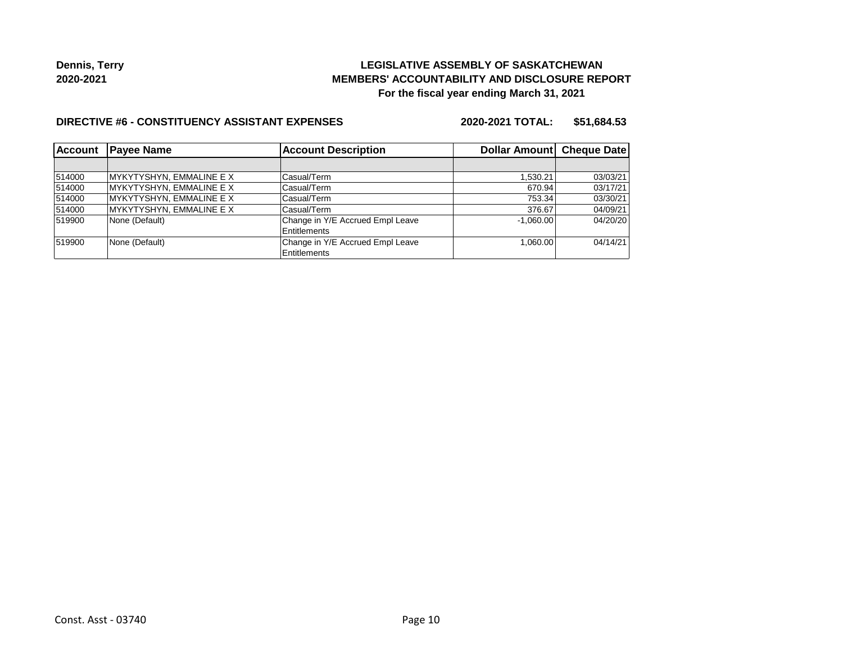## **LEGISLATIVE ASSEMBLY OF SASKATCHEWAN MEMBERS' ACCOUNTABILITY AND DISCLOSURE REPORT For the fiscal year ending March 31, 2021**

#### **DIRECTIVE #6 - CONSTITUENCY ASSISTANT EXPENSES**

**2020-2021 TOTAL: \$51,684.53**

| <b>Account</b> | <b>Payee Name</b>        | <b>Account Description</b>       | Dollar Amount Cheque Date |          |
|----------------|--------------------------|----------------------------------|---------------------------|----------|
|                |                          |                                  |                           |          |
| 514000         | MYKYTYSHYN, EMMALINE E X | Casual/Term                      | 1,530.21                  | 03/03/21 |
| 514000         | MYKYTYSHYN, EMMALINE E X | Casual/Term                      | 670.94                    | 03/17/21 |
| 514000         | MYKYTYSHYN, EMMALINE E X | Casual/Term                      | 753.34                    | 03/30/21 |
| 514000         | MYKYTYSHYN, EMMALINE E X | Casual/Term                      | 376.67                    | 04/09/21 |
| 519900         | None (Default)           | Change in Y/E Accrued Empl Leave | $-1.060.00$               | 04/20/20 |
|                |                          | Entitlements                     |                           |          |
| 519900         | None (Default)           | Change in Y/E Accrued Empl Leave | 1.060.00                  | 04/14/21 |
|                |                          | <b>Entitlements</b>              |                           |          |